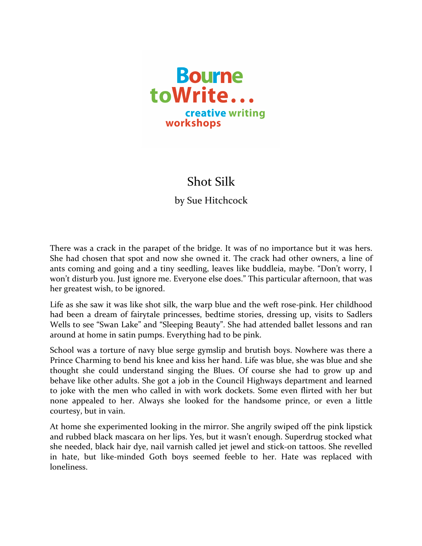

## Shot Silk

by Sue Hitchcock

There was a crack in the parapet of the bridge. It was of no importance but it was hers. She had chosen that spot and now she owned it. The crack had other owners, a line of ants coming and going and a tiny seedling, leaves like buddleia, maybe. "Don't worry, I won't disturb you. Just ignore me. Everyone else does." This particular afternoon, that was her greatest wish, to be ignored.

Life as she saw it was like shot silk, the warp blue and the weft rose-pink. Her childhood had been a dream of fairytale princesses, bedtime stories, dressing up, visits to Sadlers Wells to see "Swan Lake" and "Sleeping Beauty". She had attended ballet lessons and ran around at home in satin pumps. Everything had to be pink.

School was a torture of navy blue serge gymslip and brutish boys. Nowhere was there a Prince Charming to bend his knee and kiss her hand. Life was blue, she was blue and she thought she could understand singing the Blues. Of course she had to grow up and behave like other adults. She got a job in the Council Highways department and learned to joke with the men who called in with work dockets. Some even flirted with her but none appealed to her. Always she looked for the handsome prince, or even a little courtesy, but in vain.

At home she experimented looking in the mirror. She angrily swiped off the pink lipstick and rubbed black mascara on her lips. Yes, but it wasn't enough. Superdrug stocked what she needed, black hair dye, nail varnish called jet jewel and stick-on tattoos. She revelled in hate, but like-minded Goth boys seemed feeble to her. Hate was replaced with loneliness.